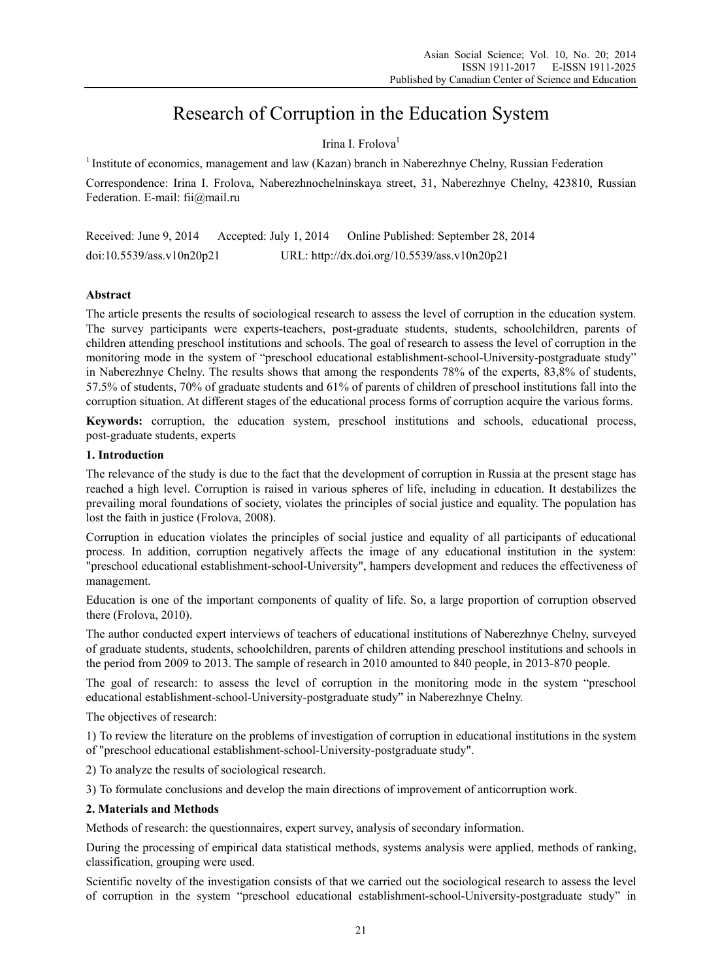# Research of Corruption in the Education System

## Irina I. Frolova<sup>1</sup>

<sup>1</sup> Institute of economics, management and law (Kazan) branch in Naberezhnye Chelny, Russian Federation

Correspondence: Irina I. Frolova, Naberezhnochelninskaya street, 31, Naberezhnye Chelny, 423810, Russian Federation. E-mail: fii@mail.ru

Received: June 9, 2014 Accepted: July 1, 2014 Online Published: September 28, 2014 doi:10.5539/ass.v10n20p21 URL: http://dx.doi.org/10.5539/ass.v10n20p21

## **Abstract**

The article presents the results of sociological research to assess the level of corruption in the education system. The survey participants were experts-teachers, post-graduate students, students, schoolchildren, parents of children attending preschool institutions and schools. The goal of research to assess the level of corruption in the monitoring mode in the system of "preschool educational establishment-school-University-postgraduate study" in Naberezhnye Chelny. The results shows that among the respondents 78% of the experts, 83,8% of students, 57.5% of students, 70% of graduate students and 61% of parents of children of preschool institutions fall into the corruption situation. At different stages of the educational process forms of corruption acquire the various forms.

**Keywords:** corruption, the education system, preschool institutions and schools, educational process, post-graduate students, experts

## **1. Introduction**

The relevance of the study is due to the fact that the development of corruption in Russia at the present stage has reached a high level. Corruption is raised in various spheres of life, including in education. It destabilizes the prevailing moral foundations of society, violates the principles of social justice and equality. The population has lost the faith in justice (Frolova, 2008).

Corruption in education violates the principles of social justice and equality of all participants of educational process. In addition, corruption negatively affects the image of any educational institution in the system: "preschool educational establishment-school-University", hampers development and reduces the effectiveness of management.

Education is one of the important components of quality of life. So, a large proportion of corruption observed there (Frolova, 2010).

The author conducted expert interviews of teachers of educational institutions of Naberezhnye Chelny, surveyed of graduate students, students, schoolchildren, parents of children attending preschool institutions and schools in the period from 2009 to 2013. The sample of research in 2010 amounted to 840 people, in 2013-870 people.

The goal of research: to assess the level of corruption in the monitoring mode in the system "preschool educational establishment-school-University-postgraduate study" in Naberezhnye Chelny.

The objectives of research:

1) To review the literature on the problems of investigation of corruption in educational institutions in the system of "preschool educational establishment-school-University-postgraduate study".

2) To analyze the results of sociological research.

3) To formulate conclusions and develop the main directions of improvement of anticorruption work.

#### **2. Materials and Methods**

Methods of research: the questionnaires, expert survey, analysis of secondary information.

During the processing of empirical data statistical methods, systems analysis were applied, methods of ranking, classification, grouping were used.

Scientific novelty of the investigation consists of that we carried out the sociological research to assess the level of corruption in the system "preschool educational establishment-school-University-postgraduate study" in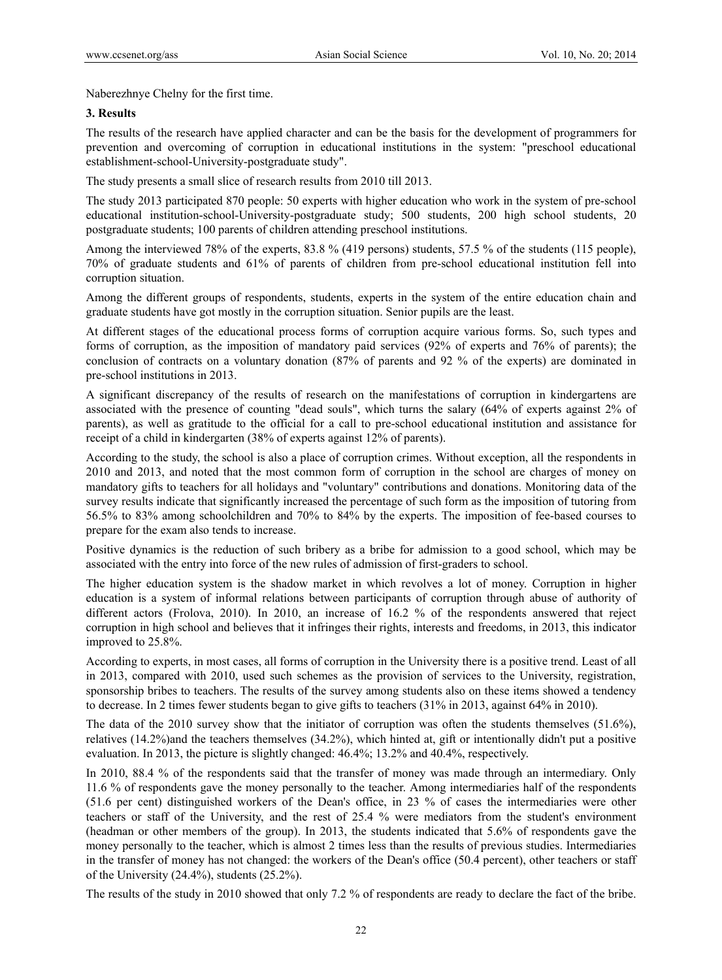Naberezhnye Chelny for the first time.

## **3. Results**

The results of the research have applied character and can be the basis for the development of programmers for prevention and overcoming of corruption in educational institutions in the system: "preschool educational establishment-school-University-postgraduate study".

The study presents a small slice of research results from 2010 till 2013.

The study 2013 participated 870 people: 50 experts with higher education who work in the system of pre-school educational institution-school-University-postgraduate study; 500 students, 200 high school students, 20 postgraduate students; 100 parents of children attending preschool institutions.

Among the interviewed 78% of the experts, 83.8 % (419 persons) students, 57.5 % of the students (115 people), 70% of graduate students and 61% of parents of children from pre-school educational institution fell into corruption situation.

Among the different groups of respondents, students, experts in the system of the entire education chain and graduate students have got mostly in the corruption situation. Senior pupils are the least.

At different stages of the educational process forms of corruption acquire various forms. So, such types and forms of corruption, as the imposition of mandatory paid services (92% of experts and 76% of parents); the conclusion of contracts on a voluntary donation (87% of parents and 92 % of the experts) are dominated in pre-school institutions in 2013.

A significant discrepancy of the results of research on the manifestations of corruption in kindergartens are associated with the presence of counting "dead souls", which turns the salary (64% of experts against 2% of parents), as well as gratitude to the official for a call to pre-school educational institution and assistance for receipt of a child in kindergarten (38% of experts against 12% of parents).

According to the study, the school is also a place of corruption crimes. Without exception, all the respondents in 2010 and 2013, and noted that the most common form of corruption in the school are charges of money on mandatory gifts to teachers for all holidays and "voluntary" contributions and donations. Monitoring data of the survey results indicate that significantly increased the percentage of such form as the imposition of tutoring from 56.5% to 83% among schoolchildren and 70% to 84% by the experts. The imposition of fee-based courses to prepare for the exam also tends to increase.

Positive dynamics is the reduction of such bribery as a bribe for admission to a good school, which may be associated with the entry into force of the new rules of admission of first-graders to school.

The higher education system is the shadow market in which revolves a lot of money. Corruption in higher education is a system of informal relations between participants of corruption through abuse of authority of different actors (Frolova, 2010). In 2010, an increase of 16.2 % of the respondents answered that reject corruption in high school and believes that it infringes their rights, interests and freedoms, in 2013, this indicator improved to 25.8%.

According to experts, in most cases, all forms of corruption in the University there is a positive trend. Least of all in 2013, compared with 2010, used such schemes as the provision of services to the University, registration, sponsorship bribes to teachers. The results of the survey among students also on these items showed a tendency to decrease. In 2 times fewer students began to give gifts to teachers (31% in 2013, against 64% in 2010).

The data of the 2010 survey show that the initiator of corruption was often the students themselves (51.6%), relatives (14.2%)and the teachers themselves (34.2%), which hinted at, gift or intentionally didn't put a positive evaluation. In 2013, the picture is slightly changed: 46.4%; 13.2% and 40.4%, respectively.

In 2010, 88.4 % of the respondents said that the transfer of money was made through an intermediary. Only 11.6 % of respondents gave the money personally to the teacher. Among intermediaries half of the respondents (51.6 per cent) distinguished workers of the Dean's office, in 23 % of cases the intermediaries were other teachers or staff of the University, and the rest of 25.4 % were mediators from the student's environment (headman or other members of the group). In 2013, the students indicated that 5.6% of respondents gave the money personally to the teacher, which is almost 2 times less than the results of previous studies. Intermediaries in the transfer of money has not changed: the workers of the Dean's office (50.4 percent), other teachers or staff of the University (24.4%), students (25.2%).

The results of the study in 2010 showed that only 7.2 % of respondents are ready to declare the fact of the bribe.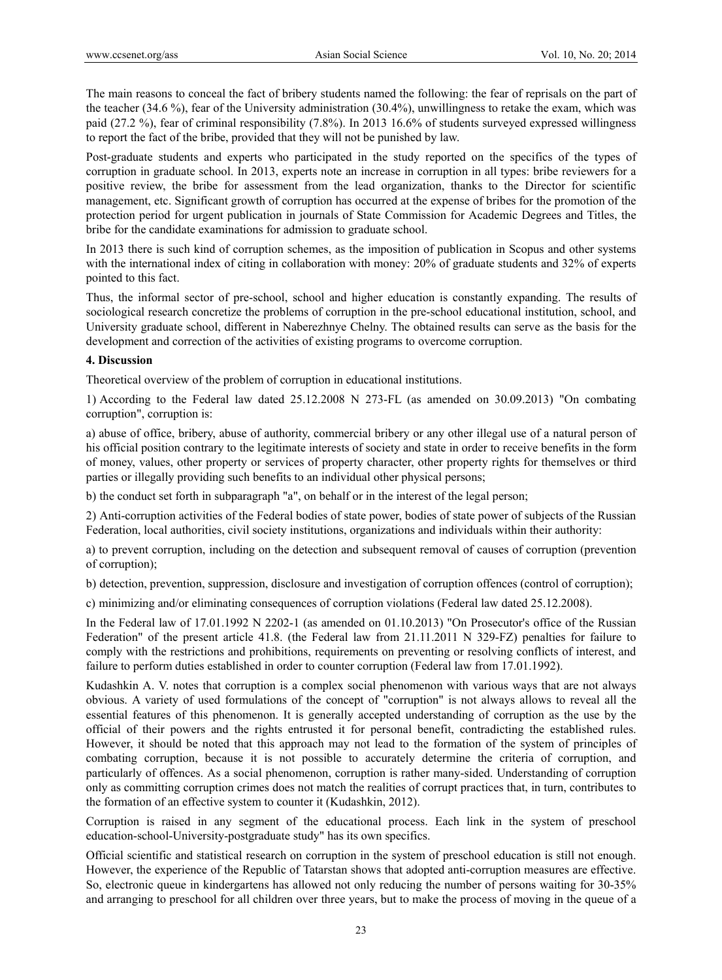The main reasons to conceal the fact of bribery students named the following: the fear of reprisals on the part of the teacher (34.6 %), fear of the University administration (30.4%), unwillingness to retake the exam, which was paid (27.2 %), fear of criminal responsibility (7.8%). In 2013 16.6% of students surveyed expressed willingness to report the fact of the bribe, provided that they will not be punished by law.

Post-graduate students and experts who participated in the study reported on the specifics of the types of corruption in graduate school. In 2013, experts note an increase in corruption in all types: bribe reviewers for a positive review, the bribe for assessment from the lead organization, thanks to the Director for scientific management, etc. Significant growth of corruption has occurred at the expense of bribes for the promotion of the protection period for urgent publication in journals of State Commission for Academic Degrees and Titles, the bribe for the candidate examinations for admission to graduate school.

In 2013 there is such kind of corruption schemes, as the imposition of publication in Scopus and other systems with the international index of citing in collaboration with money: 20% of graduate students and 32% of experts pointed to this fact.

Thus, the informal sector of pre-school, school and higher education is constantly expanding. The results of sociological research concretize the problems of corruption in the pre-school educational institution, school, and University graduate school, different in Naberezhnye Chelny. The obtained results can serve as the basis for the development and correction of the activities of existing programs to overcome corruption.

## **4. Discussion**

Theoretical overview of the problem of corruption in educational institutions.

1) According to the Federal law dated 25.12.2008 N 273-FL (as amended on 30.09.2013) "On combating corruption", corruption is:

a) abuse of office, bribery, abuse of authority, commercial bribery or any other illegal use of a natural person of his official position contrary to the legitimate interests of society and state in order to receive benefits in the form of money, values, other property or services of property character, other property rights for themselves or third parties or illegally providing such benefits to an individual other physical persons;

b) the conduct set forth in subparagraph "a", on behalf or in the interest of the legal person;

2) Anti-corruption activities of the Federal bodies of state power, bodies of state power of subjects of the Russian Federation, local authorities, civil society institutions, organizations and individuals within their authority:

a) to prevent corruption, including on the detection and subsequent removal of causes of corruption (prevention of corruption);

b) detection, prevention, suppression, disclosure and investigation of corruption offences (control of corruption);

c) minimizing and/or eliminating consequences of corruption violations (Federal law dated 25.12.2008).

In the Federal law of 17.01.1992 N 2202-1 (as amended on 01.10.2013) "On Prosecutor's office of the Russian Federation" of the present article 41.8. (the Federal law from 21.11.2011 N 329-FZ) penalties for failure to comply with the restrictions and prohibitions, requirements on preventing or resolving conflicts of interest, and failure to perform duties established in order to counter corruption (Federal law from 17.01.1992).

Kudashkin A. V. notes that corruption is a complex social phenomenon with various ways that are not always obvious. A variety of used formulations of the concept of "corruption" is not always allows to reveal all the essential features of this phenomenon. It is generally accepted understanding of corruption as the use by the official of their powers and the rights entrusted it for personal benefit, contradicting the established rules. However, it should be noted that this approach may not lead to the formation of the system of principles of combating corruption, because it is not possible to accurately determine the criteria of corruption, and particularly of offences. As a social phenomenon, corruption is rather many-sided. Understanding of corruption only as committing corruption crimes does not match the realities of corrupt practices that, in turn, contributes to the formation of an effective system to counter it (Kudashkin, 2012).

Corruption is raised in any segment of the educational process. Each link in the system of preschool education-school-University-postgraduate study" has its own specifics.

Official scientific and statistical research on corruption in the system of preschool education is still not enough. However, the experience of the Republic of Tatarstan shows that adopted anti-corruption measures are effective. So, electronic queue in kindergartens has allowed not only reducing the number of persons waiting for 30-35% and arranging to preschool for all children over three years, but to make the process of moving in the queue of a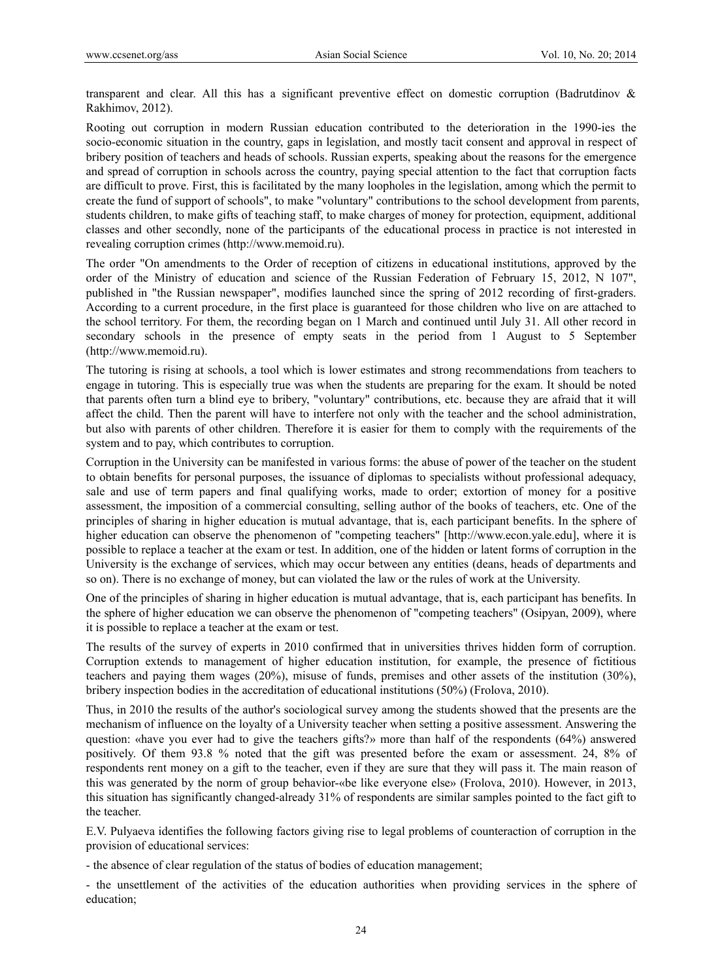transparent and clear. All this has a significant preventive effect on domestic corruption (Badrutdinov & Rakhimov, 2012).

Rooting out corruption in modern Russian education contributed to the deterioration in the 1990-ies the socio-economic situation in the country, gaps in legislation, and mostly tacit consent and approval in respect of bribery position of teachers and heads of schools. Russian experts, speaking about the reasons for the emergence and spread of corruption in schools across the country, paying special attention to the fact that corruption facts are difficult to prove. First, this is facilitated by the many loopholes in the legislation, among which the permit to create the fund of support of schools", to make "voluntary" contributions to the school development from parents, students children, to make gifts of teaching staff, to make charges of money for protection, equipment, additional classes and other secondly, none of the participants of the educational process in practice is not interested in revealing corruption crimes (http://www.memoid.ru).

The order "On amendments to the Order of reception of citizens in educational institutions, approved by the order of the Ministry of education and science of the Russian Federation of February 15, 2012, N 107", published in "the Russian newspaper", modifies launched since the spring of 2012 recording of first-graders. According to a current procedure, in the first place is guaranteed for those children who live on are attached to the school territory. For them, the recording began on 1 March and continued until July 31. All other record in secondary schools in the presence of empty seats in the period from 1 August to 5 September (http://www.memoid.ru).

The tutoring is rising at schools, a tool which is lower estimates and strong recommendations from teachers to engage in tutoring. This is especially true was when the students are preparing for the exam. It should be noted that parents often turn a blind eye to bribery, "voluntary" contributions, etc. because they are afraid that it will affect the child. Then the parent will have to interfere not only with the teacher and the school administration, but also with parents of other children. Therefore it is easier for them to comply with the requirements of the system and to pay, which contributes to corruption.

Corruption in the University can be manifested in various forms: the abuse of power of the teacher on the student to obtain benefits for personal purposes, the issuance of diplomas to specialists without professional adequacy, sale and use of term papers and final qualifying works, made to order; extortion of money for a positive assessment, the imposition of a commercial consulting, selling author of the books of teachers, etc. One of the principles of sharing in higher education is mutual advantage, that is, each participant benefits. In the sphere of higher education can observe the phenomenon of "competing teachers" [http://www.econ.yale.edu], where it is possible to replace a teacher at the exam or test. In addition, one of the hidden or latent forms of corruption in the University is the exchange of services, which may occur between any entities (deans, heads of departments and so on). There is no exchange of money, but can violated the law or the rules of work at the University.

One of the principles of sharing in higher education is mutual advantage, that is, each participant has benefits. In the sphere of higher education we can observe the phenomenon of "competing teachers" (Osipyan, 2009), where it is possible to replace a teacher at the exam or test.

The results of the survey of experts in 2010 confirmed that in universities thrives hidden form of corruption. Corruption extends to management of higher education institution, for example, the presence of fictitious teachers and paying them wages (20%), misuse of funds, premises and other assets of the institution (30%), bribery inspection bodies in the accreditation of educational institutions (50%) (Frolova, 2010).

Thus, in 2010 the results of the author's sociological survey among the students showed that the presents are the mechanism of influence on the loyalty of a University teacher when setting a positive assessment. Answering the question: «have you ever had to give the teachers gifts?» more than half of the respondents (64%) answered positively. Of them 93.8 % noted that the gift was presented before the exam or assessment. 24, 8% of respondents rent money on a gift to the teacher, even if they are sure that they will pass it. The main reason of this was generated by the norm of group behavior-«be like everyone else» (Frolova, 2010). However, in 2013, this situation has significantly changed-already 31% of respondents are similar samples pointed to the fact gift to the teacher.

E.V. Pulyaeva identifies the following factors giving rise to legal problems of counteraction of corruption in the provision of educational services:

- the absence of clear regulation of the status of bodies of education management;

- the unsettlement of the activities of the education authorities when providing services in the sphere of education;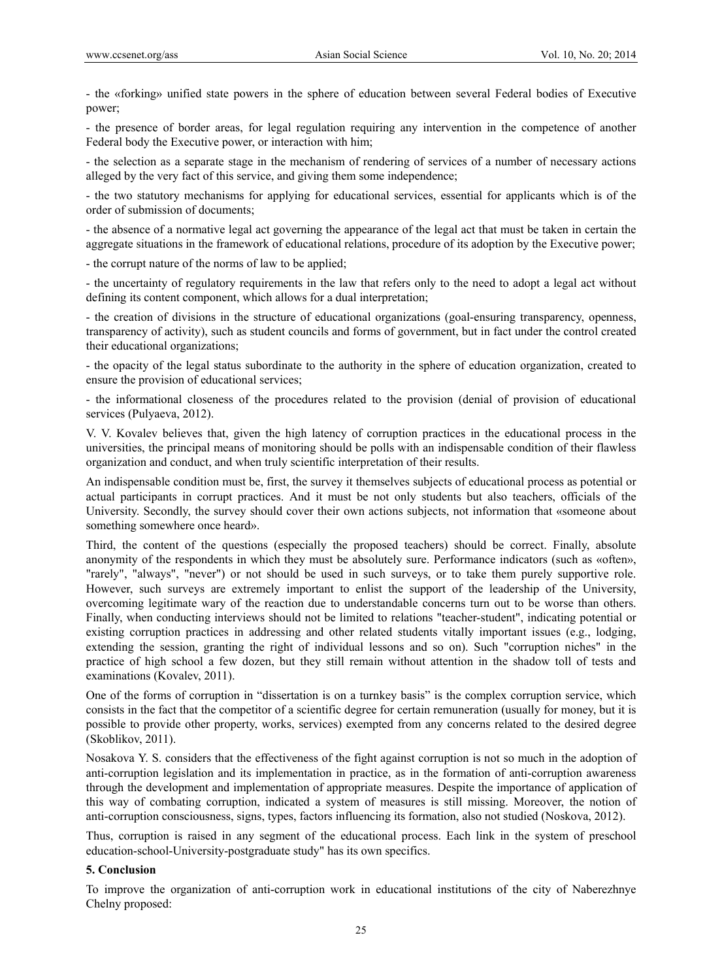- the «forking» unified state powers in the sphere of education between several Federal bodies of Executive power;

- the presence of border areas, for legal regulation requiring any intervention in the competence of another Federal body the Executive power, or interaction with him;

- the selection as a separate stage in the mechanism of rendering of services of a number of necessary actions alleged by the very fact of this service, and giving them some independence;

- the two statutory mechanisms for applying for educational services, essential for applicants which is of the order of submission of documents;

- the absence of a normative legal act governing the appearance of the legal act that must be taken in certain the aggregate situations in the framework of educational relations, procedure of its adoption by the Executive power;

- the corrupt nature of the norms of law to be applied;

- the uncertainty of regulatory requirements in the law that refers only to the need to adopt a legal act without defining its content component, which allows for a dual interpretation;

- the creation of divisions in the structure of educational organizations (goal-ensuring transparency, openness, transparency of activity), such as student councils and forms of government, but in fact under the control created their educational organizations;

- the opacity of the legal status subordinate to the authority in the sphere of education organization, created to ensure the provision of educational services;

- the informational closeness of the procedures related to the provision (denial of provision of educational services (Pulyaeva, 2012).

V. V. Kovalev believes that, given the high latency of corruption practices in the educational process in the universities, the principal means of monitoring should be polls with an indispensable condition of their flawless organization and conduct, and when truly scientific interpretation of their results.

An indispensable condition must be, first, the survey it themselves subjects of educational process as potential or actual participants in corrupt practices. And it must be not only students but also teachers, officials of the University. Secondly, the survey should cover their own actions subjects, not information that «someone about something somewhere once heard».

Third, the content of the questions (especially the proposed teachers) should be correct. Finally, absolute anonymity of the respondents in which they must be absolutely sure. Performance indicators (such as «often», "rarely", "always", "never") or not should be used in such surveys, or to take them purely supportive role. However, such surveys are extremely important to enlist the support of the leadership of the University, overcoming legitimate wary of the reaction due to understandable concerns turn out to be worse than others. Finally, when conducting interviews should not be limited to relations "teacher-student", indicating potential or existing corruption practices in addressing and other related students vitally important issues (e.g., lodging, extending the session, granting the right of individual lessons and so on). Such "corruption niches" in the practice of high school a few dozen, but they still remain without attention in the shadow toll of tests and examinations (Kovalev, 2011).

One of the forms of corruption in "dissertation is on a turnkey basis" is the complex corruption service, which consists in the fact that the competitor of a scientific degree for certain remuneration (usually for money, but it is possible to provide other property, works, services) exempted from any concerns related to the desired degree (Skoblikov, 2011).

Nosakova Y. S. considers that the effectiveness of the fight against corruption is not so much in the adoption of anti-corruption legislation and its implementation in practice, as in the formation of anti-corruption awareness through the development and implementation of appropriate measures. Despite the importance of application of this way of combating corruption, indicated a system of measures is still missing. Moreover, the notion of anti-corruption consciousness, signs, types, factors influencing its formation, also not studied (Noskova, 2012).

Thus, corruption is raised in any segment of the educational process. Each link in the system of preschool education-school-University-postgraduate study" has its own specifics.

#### **5. Conclusion**

To improve the organization of anti-corruption work in educational institutions of the city of Naberezhnye Chelny proposed: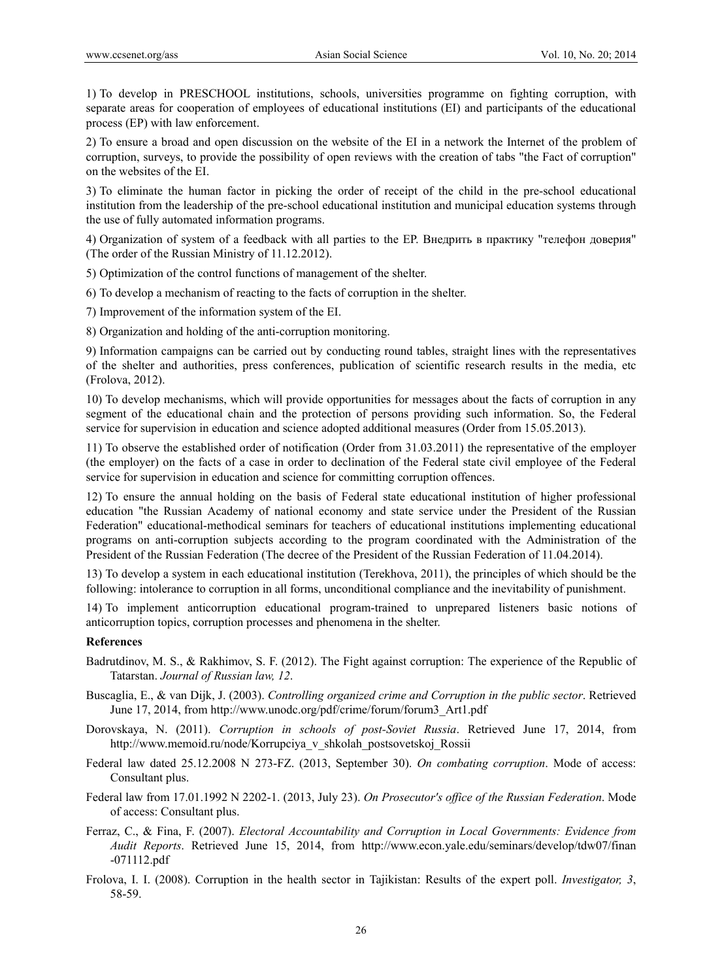1) To develop in PRESCHOOL institutions, schools, universities programme on fighting corruption, with separate areas for cooperation of employees of educational institutions (EI) and participants of the educational process (EP) with law enforcement.

2) To ensure a broad and open discussion on the website of the EI in a network the Internet of the problem of corruption, surveys, to provide the possibility of open reviews with the creation of tabs "the Fact of corruption" on the websites of the EI.

3) To eliminate the human factor in picking the order of receipt of the child in the pre-school educational institution from the leadership of the pre-school educational institution and municipal education systems through the use of fully automated information programs.

4) Organization of system of a feedback with all parties to the EP. Внедрить в практику "телефон доверия" (The order of the Russian Ministry of 11.12.2012).

5) Optimization of the control functions of management of the shelter.

6) To develop a mechanism of reacting to the facts of corruption in the shelter.

7) Improvement of the information system of the EI.

8) Organization and holding of the anti-corruption monitoring.

9) Information campaigns can be carried out by conducting round tables, straight lines with the representatives of the shelter and authorities, press conferences, publication of scientific research results in the media, etc (Frolova, 2012).

10) To develop mechanisms, which will provide opportunities for messages about the facts of corruption in any segment of the educational chain and the protection of persons providing such information. So, the Federal service for supervision in education and science adopted additional measures (Order from 15.05.2013).

11) To observe the established order of notification (Order from 31.03.2011) the representative of the employer (the employer) on the facts of a case in order to declination of the Federal state civil employee of the Federal service for supervision in education and science for committing corruption offences.

12) To ensure the annual holding on the basis of Federal state educational institution of higher professional education "the Russian Academy of national economy and state service under the President of the Russian Federation" educational-methodical seminars for teachers of educational institutions implementing educational programs on anti-corruption subjects according to the program coordinated with the Administration of the President of the Russian Federation (The decree of the President of the Russian Federation of 11.04.2014).

13) To develop a system in each educational institution (Terekhova, 2011), the principles of which should be the following: intolerance to corruption in all forms, unconditional compliance and the inevitability of punishment.

14) To implement anticorruption educational program-trained to unprepared listeners basic notions of anticorruption topics, corruption processes and phenomena in the shelter.

#### **References**

- Badrutdinov, M. S., & Rakhimov, S. F. (2012). The Fight against corruption: The experience of the Republic of Tatarstan. *Journal of Russian law, 12*.
- Buscaglia, E., & van Dijk, J. (2003). *Controlling organized crime and Corruption in the public sector*. Retrieved June 17, 2014, from http://www.unodc.org/pdf/crime/forum/forum3\_Art1.pdf
- Dorovskaya, N. (2011). *Corruption in schools of post-Soviet Russia*. Retrieved June 17, 2014, from http://www.memoid.ru/node/Korrupciya\_v\_shkolah\_postsovetskoj\_Rossii
- Federal law dated 25.12.2008 N 273-FZ. (2013, September 30). *On combating corruption*. Mode of access: Consultant plus.
- Federal law from 17.01.1992 N 2202-1. (2013, July 23). *On Prosecutor's office of the Russian Federation*. Mode of access: Consultant plus.
- Ferraz, C., & Fina, F. (2007). *Electoral Accountability and Corruption in Local Governments: Evidence from Audit Reports*. Retrieved June 15, 2014, from http://www.econ.yale.edu/seminars/develop/tdw07/finan -071112.pdf
- Frolova, I. I. (2008). Corruption in the health sector in Tajikistan: Results of the expert poll. *Investigator, 3*, 58-59.